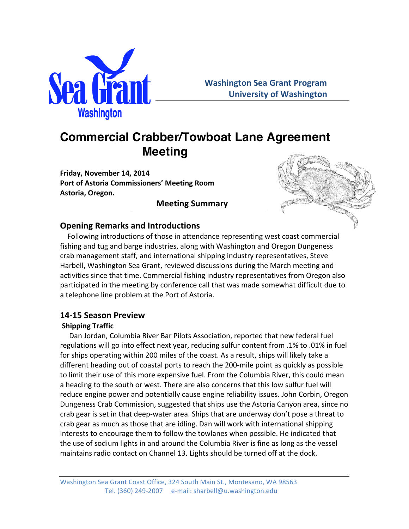

# **Commercial Crabber/Towboat Lane Agreement Meeting**

Friday, November 14, 2014 **Port of Astoria Commissioners' Meeting Room Astoria, Oregon.**

# **Meeting Summary**



# **Opening Remarks and Introductions**

Following introductions of those in attendance representing west coast commercial fishing and tug and barge industries, along with Washington and Oregon Dungeness crab management staff, and international shipping industry representatives, Steve Harbell, Washington Sea Grant, reviewed discussions during the March meeting and activities since that time. Commercial fishing industry representatives from Oregon also participated in the meeting by conference call that was made somewhat difficult due to a telephone line problem at the Port of Astoria.

## **14-15 Season Preview**

### **Shipping Traffic**

Dan Jordan, Columbia River Bar Pilots Association, reported that new federal fuel regulations will go into effect next year, reducing sulfur content from .1% to .01% in fuel for ships operating within 200 miles of the coast. As a result, ships will likely take a different heading out of coastal ports to reach the 200-mile point as quickly as possible to limit their use of this more expensive fuel. From the Columbia River, this could mean a heading to the south or west. There are also concerns that this low sulfur fuel will reduce engine power and potentially cause engine reliability issues. John Corbin, Oregon Dungeness Crab Commission, suggested that ships use the Astoria Canyon area, since no crab gear is set in that deep-water area. Ships that are underway don't pose a threat to crab gear as much as those that are idling. Dan will work with international shipping interests to encourage them to follow the towlanes when possible. He indicated that the use of sodium lights in and around the Columbia River is fine as long as the vessel maintains radio contact on Channel 13. Lights should be turned off at the dock.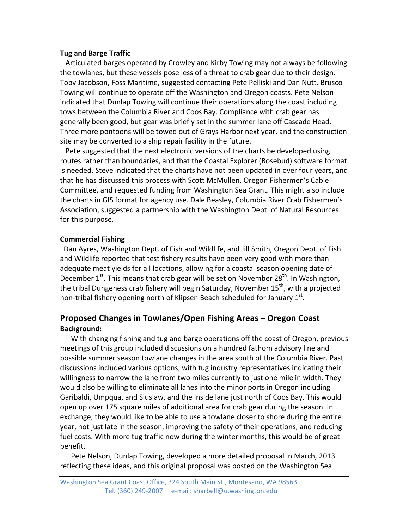#### **Tug and Barge Traffic**

Articulated barges operated by Crowley and Kirby Towing may not always be following the towlanes, but these vessels pose less of a threat to crab gear due to their design. Toby Jacobson, Foss Maritime, suggested contacting Pete Pelliski and Dan Nutt. Brusco Towing will continue to operate off the Washington and Oregon coasts. Pete Nelson indicated that Dunlap Towing will continue their operations along the coast including tows between the Columbia River and Coos Bay. Compliance with crab gear has generally been good, but gear was briefly set in the summer lane off Cascade Head. Three more pontoons will be towed out of Grays Harbor next year, and the construction site may be converted to a ship repair facility in the future.

Pete suggested that the next electronic versions of the charts be developed using routes rather than boundaries, and that the Coastal Explorer (Rosebud) software format is needed. Steve indicated that the charts have not been updated in over four years, and that he has discussed this process with Scott McMullen, Oregon Fishermen's Cable Committee, and requested funding from Washington Sea Grant. This might also include the charts in GIS format for agency use. Dale Beasley, Columbia River Crab Fishermen's Association, suggested a partnership with the Washington Dept. of Natural Resources for this purpose.

#### **Commercial Fishing**

Dan Ayres, Washington Dept. of Fish and Wildlife, and Jill Smith, Oregon Dept. of Fish and Wildlife reported that test fishery results have been very good with more than adequate meat yields for all locations, allowing for a coastal season opening date of December  $1^{st}$ . This means that crab gear will be set on November 28<sup>th</sup>. In Washington, the tribal Dungeness crab fishery will begin Saturday, November  $15<sup>th</sup>$ , with a projected non-tribal fishery opening north of Klipsen Beach scheduled for January  $1^{st}$ .

## **Proposed Changes in Towlanes/Open Fishing Areas – Oregon Coast Background:**

With changing fishing and tug and barge operations off the coast of Oregon, previous meetings of this group included discussions on a hundred fathom advisory line and possible summer season towlane changes in the area south of the Columbia River. Past discussions included various options, with tug industry representatives indicating their willingness to narrow the lane from two miles currently to just one mile in width. They would also be willing to eliminate all lanes into the minor ports in Oregon including Garibaldi, Umpqua, and Siuslaw, and the inside lane just north of Coos Bay. This would open up over 175 square miles of additional area for crab gear during the season. In exchange, they would like to be able to use a towlane closer to shore during the entire year, not just late in the season, improving the safety of their operations, and reducing fuel costs. With more tug traffic now during the winter months, this would be of great benefit. 

Pete Nelson, Dunlap Towing, developed a more detailed proposal in March, 2013 reflecting these ideas, and this original proposal was posted on the Washington Sea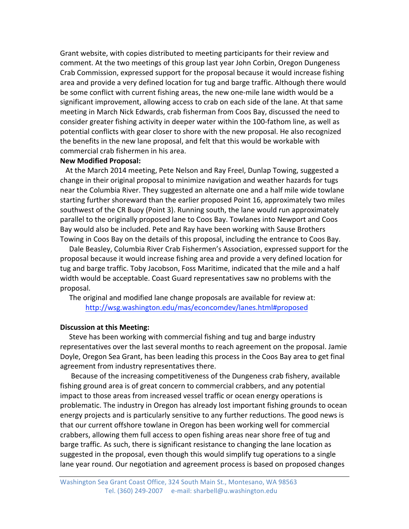Grant website, with copies distributed to meeting participants for their review and comment. At the two meetings of this group last year John Corbin, Oregon Dungeness Crab Commission, expressed support for the proposal because it would increase fishing area and provide a very defined location for tug and barge traffic. Although there would be some conflict with current fishing areas, the new one-mile lane width would be a significant improvement, allowing access to crab on each side of the lane. At that same meeting in March Nick Edwards, crab fisherman from Coos Bay, discussed the need to consider greater fishing activity in deeper water within the 100-fathom line, as well as potential conflicts with gear closer to shore with the new proposal. He also recognized the benefits in the new lane proposal, and felt that this would be workable with commercial crab fishermen in his area.

#### **New Modified Proposal:**

At the March 2014 meeting, Pete Nelson and Ray Freel, Dunlap Towing, suggested a change in their original proposal to minimize navigation and weather hazards for tugs near the Columbia River. They suggested an alternate one and a half mile wide towlane starting further shoreward than the earlier proposed Point 16, approximately two miles southwest of the CR Buoy (Point 3). Running south, the lane would run approximately parallel to the originally proposed lane to Coos Bay. Towlanes into Newport and Coos Bay would also be included. Pete and Ray have been working with Sause Brothers Towing in Coos Bay on the details of this proposal, including the entrance to Coos Bay.

Dale Beasley, Columbia River Crab Fishermen's Association, expressed support for the proposal because it would increase fishing area and provide a very defined location for tug and barge traffic. Toby Jacobson, Foss Maritime, indicated that the mile and a half width would be acceptable. Coast Guard representatives saw no problems with the proposal.

The original and modified lane change proposals are available for review at: http://wsg.washington.edu/mas/econcomdev/lanes.html#proposed

#### **Discussion at this Meeting:**

Steve has been working with commercial fishing and tug and barge industry representatives over the last several months to reach agreement on the proposal. Jamie Doyle, Oregon Sea Grant, has been leading this process in the Coos Bay area to get final agreement from industry representatives there.

Because of the increasing competitiveness of the Dungeness crab fishery, available fishing ground area is of great concern to commercial crabbers, and any potential impact to those areas from increased vessel traffic or ocean energy operations is problematic. The industry in Oregon has already lost important fishing grounds to ocean energy projects and is particularly sensitive to any further reductions. The good news is that our current offshore towlane in Oregon has been working well for commercial crabbers, allowing them full access to open fishing areas near shore free of tug and barge traffic. As such, there is significant resistance to changing the lane location as suggested in the proposal, even though this would simplify tug operations to a single lane year round. Our negotiation and agreement process is based on proposed changes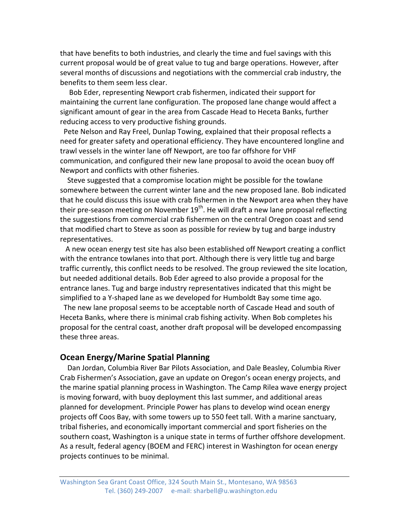that have benefits to both industries, and clearly the time and fuel savings with this current proposal would be of great value to tug and barge operations. However, after several months of discussions and negotiations with the commercial crab industry, the benefits to them seem less clear.

Bob Eder, representing Newport crab fishermen, indicated their support for maintaining the current lane configuration. The proposed lane change would affect a significant amount of gear in the area from Cascade Head to Heceta Banks, further reducing access to very productive fishing grounds.

Pete Nelson and Ray Freel, Dunlap Towing, explained that their proposal reflects a need for greater safety and operational efficiency. They have encountered longline and trawl vessels in the winter lane off Newport, are too far offshore for VHF communication, and configured their new lane proposal to avoid the ocean buoy off Newport and conflicts with other fisheries.

Steve suggested that a compromise location might be possible for the towlane somewhere between the current winter lane and the new proposed lane. Bob indicated that he could discuss this issue with crab fishermen in the Newport area when they have their pre-season meeting on November  $19<sup>th</sup>$ . He will draft a new lane proposal reflecting the suggestions from commercial crab fishermen on the central Oregon coast and send that modified chart to Steve as soon as possible for review by tug and barge industry representatives. 

A new ocean energy test site has also been established off Newport creating a conflict with the entrance towlanes into that port. Although there is very little tug and barge traffic currently, this conflict needs to be resolved. The group reviewed the site location, but needed additional details. Bob Eder agreed to also provide a proposal for the entrance lanes. Tug and barge industry representatives indicated that this might be simplified to a Y-shaped lane as we developed for Humboldt Bay some time ago.

The new lane proposal seems to be acceptable north of Cascade Head and south of Heceta Banks, where there is minimal crab fishing activity. When Bob completes his proposal for the central coast, another draft proposal will be developed encompassing these three areas.

### **Ocean Energy/Marine Spatial Planning**

Dan Jordan, Columbia River Bar Pilots Association, and Dale Beasley, Columbia River Crab Fishermen's Association, gave an update on Oregon's ocean energy projects, and the marine spatial planning process in Washington. The Camp Rilea wave energy project is moving forward, with buoy deployment this last summer, and additional areas planned for development. Principle Power has plans to develop wind ocean energy projects off Coos Bay, with some towers up to 550 feet tall. With a marine sanctuary, tribal fisheries, and economically important commercial and sport fisheries on the southern coast, Washington is a unique state in terms of further offshore development. As a result, federal agency (BOEM and FERC) interest in Washington for ocean energy projects continues to be minimal.